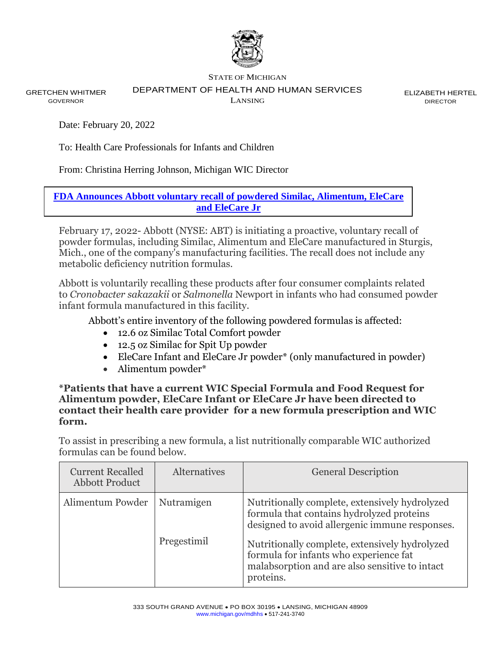

STATE OF MICHIGAN

DEPARTMENT OF HEALTH AND HUMAN SERVICES

GRETCHEN WHITMER GOVERNOR

LANSING

ELIZABETH HERTEL DIRECTOR

Date: February 20, 2022

To: Health Care Professionals for Infants and Children

From: Christina Herring Johnson, Michigan WIC Director

**[FDA Announces Abbott voluntary recall of powdered Similac, Alimentum, EleCare](https://www.fda.gov/safety/recalls-market-withdrawals-safety-alerts/abbott-voluntarily-recalls-powder-formulas-manufactured-one-plant?utm_medium=email&utm_source=govdelivery)  [and EleCare Jr](https://www.fda.gov/safety/recalls-market-withdrawals-safety-alerts/abbott-voluntarily-recalls-powder-formulas-manufactured-one-plant?utm_medium=email&utm_source=govdelivery)**

February 17, 2022- Abbott (NYSE: ABT) is initiating a proactive, voluntary recall of powder formulas, including Similac, Alimentum and EleCare manufactured in Sturgis, Mich., one of the company's manufacturing facilities. The recall does not include any metabolic deficiency nutrition formulas.

Abbott is voluntarily recalling these products after four consumer complaints related to *Cronobacter sakazakii* or *Salmonella* Newport in infants who had consumed powder infant formula manufactured in this facility.

Abbott's entire inventory of the following powdered formulas is affected:

- 12.6 oz Similac Total Comfort powder
- 12.5 oz Similac for Spit Up powder
- EleCare Infant and EleCare Jr powder<sup>\*</sup> (only manufactured in powder)
- Alimentum powder\*

**\*Patients that have a current WIC Special Formula and Food Request for Alimentum powder, EleCare Infant or EleCare Jr have been directed to contact their health care provider for a new formula prescription and WIC form.** 

To assist in prescribing a new formula, a list nutritionally comparable WIC authorized formulas can be found below.

| <b>Current Recalled</b><br><b>Abbott Product</b> | <b>Alternatives</b> | <b>General Description</b>                                                                                                                              |
|--------------------------------------------------|---------------------|---------------------------------------------------------------------------------------------------------------------------------------------------------|
| Alimentum Powder                                 | Nutramigen          | Nutritionally complete, extensively hydrolyzed<br>formula that contains hydrolyzed proteins<br>designed to avoid allergenic immune responses.           |
|                                                  | Pregestimil         | Nutritionally complete, extensively hydrolyzed<br>formula for infants who experience fat<br>malabsorption and are also sensitive to intact<br>proteins. |